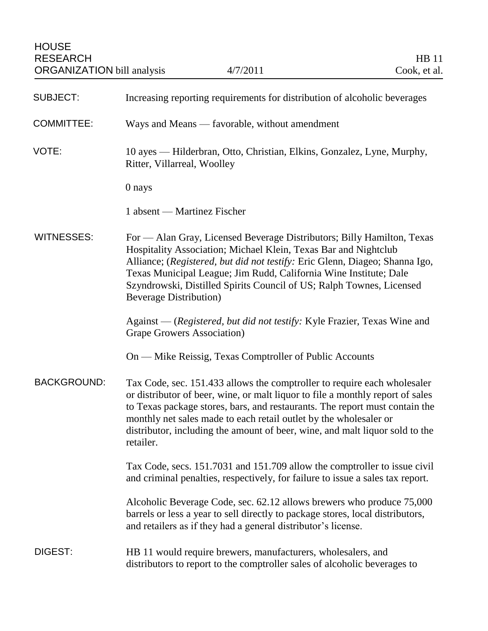| <b>SUBJECT:</b>    | Increasing reporting requirements for distribution of alcoholic beverages                                                                                                                                                                                                                                                                                                                                   |
|--------------------|-------------------------------------------------------------------------------------------------------------------------------------------------------------------------------------------------------------------------------------------------------------------------------------------------------------------------------------------------------------------------------------------------------------|
| <b>COMMITTEE:</b>  | Ways and Means — favorable, without amendment                                                                                                                                                                                                                                                                                                                                                               |
| VOTE:              | 10 ayes — Hilderbran, Otto, Christian, Elkins, Gonzalez, Lyne, Murphy,<br>Ritter, Villarreal, Woolley                                                                                                                                                                                                                                                                                                       |
|                    | 0 nays                                                                                                                                                                                                                                                                                                                                                                                                      |
|                    | 1 absent — Martinez Fischer                                                                                                                                                                                                                                                                                                                                                                                 |
| WITNESSES:         | For — Alan Gray, Licensed Beverage Distributors; Billy Hamilton, Texas<br>Hospitality Association; Michael Klein, Texas Bar and Nightclub<br>Alliance; (Registered, but did not testify: Eric Glenn, Diageo; Shanna Igo,<br>Texas Municipal League; Jim Rudd, California Wine Institute; Dale<br>Szyndrowski, Distilled Spirits Council of US; Ralph Townes, Licensed<br><b>Beverage Distribution</b> )     |
|                    | Against — (Registered, but did not testify: Kyle Frazier, Texas Wine and<br>Grape Growers Association)                                                                                                                                                                                                                                                                                                      |
|                    | On — Mike Reissig, Texas Comptroller of Public Accounts                                                                                                                                                                                                                                                                                                                                                     |
| <b>BACKGROUND:</b> | Tax Code, sec. 151.433 allows the comptroller to require each wholesaler<br>or distributor of beer, wine, or malt liquor to file a monthly report of sales<br>to Texas package stores, bars, and restaurants. The report must contain the<br>monthly net sales made to each retail outlet by the wholesaler or<br>distributor, including the amount of beer, wine, and malt liquor sold to the<br>retailer. |
|                    | Tax Code, secs. 151.7031 and 151.709 allow the comptroller to issue civil<br>and criminal penalties, respectively, for failure to issue a sales tax report.                                                                                                                                                                                                                                                 |
|                    | Alcoholic Beverage Code, sec. 62.12 allows brewers who produce 75,000<br>barrels or less a year to sell directly to package stores, local distributors,<br>and retailers as if they had a general distributor's license.                                                                                                                                                                                    |
| DIGEST:            | HB 11 would require brewers, manufacturers, wholesalers, and<br>distributors to report to the comptroller sales of alcoholic beverages to                                                                                                                                                                                                                                                                   |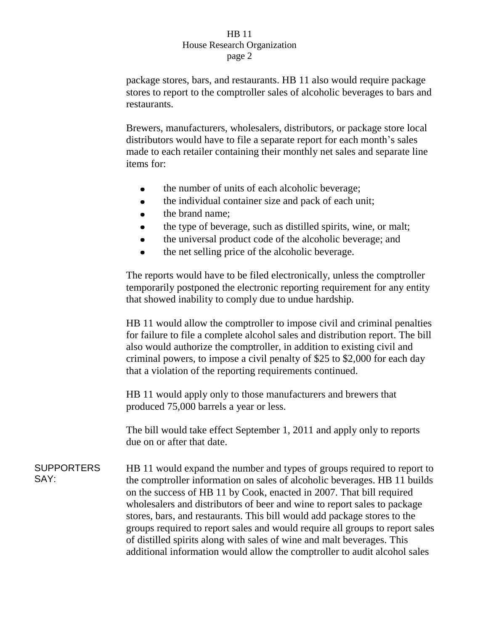package stores, bars, and restaurants. HB 11 also would require package stores to report to the comptroller sales of alcoholic beverages to bars and restaurants.

Brewers, manufacturers, wholesalers, distributors, or package store local distributors would have to file a separate report for each month's sales made to each retailer containing their monthly net sales and separate line items for:

- the number of units of each alcoholic beverage;  $\bullet$
- the individual container size and pack of each unit;  $\bullet$
- the brand name;
- the type of beverage, such as distilled spirits, wine, or malt;
- the universal product code of the alcoholic beverage; and
- the net selling price of the alcoholic beverage.  $\bullet$

The reports would have to be filed electronically, unless the comptroller temporarily postponed the electronic reporting requirement for any entity that showed inability to comply due to undue hardship.

HB 11 would allow the comptroller to impose civil and criminal penalties for failure to file a complete alcohol sales and distribution report. The bill also would authorize the comptroller, in addition to existing civil and criminal powers, to impose a civil penalty of \$25 to \$2,000 for each day that a violation of the reporting requirements continued.

HB 11 would apply only to those manufacturers and brewers that produced 75,000 barrels a year or less.

The bill would take effect September 1, 2011 and apply only to reports due on or after that date.

**SUPPORTERS** SAY: HB 11 would expand the number and types of groups required to report to the comptroller information on sales of alcoholic beverages. HB 11 builds on the success of HB 11 by Cook, enacted in 2007. That bill required wholesalers and distributors of beer and wine to report sales to package stores, bars, and restaurants. This bill would add package stores to the groups required to report sales and would require all groups to report sales of distilled spirits along with sales of wine and malt beverages. This additional information would allow the comptroller to audit alcohol sales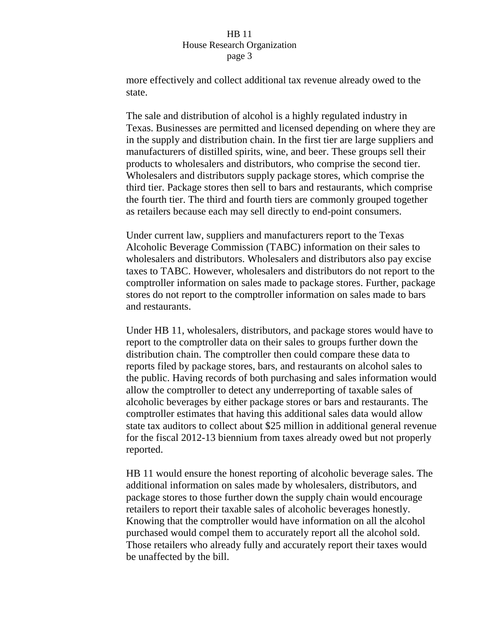more effectively and collect additional tax revenue already owed to the state.

The sale and distribution of alcohol is a highly regulated industry in Texas. Businesses are permitted and licensed depending on where they are in the supply and distribution chain. In the first tier are large suppliers and manufacturers of distilled spirits, wine, and beer. These groups sell their products to wholesalers and distributors, who comprise the second tier. Wholesalers and distributors supply package stores, which comprise the third tier. Package stores then sell to bars and restaurants, which comprise the fourth tier. The third and fourth tiers are commonly grouped together as retailers because each may sell directly to end-point consumers.

Under current law, suppliers and manufacturers report to the Texas Alcoholic Beverage Commission (TABC) information on their sales to wholesalers and distributors. Wholesalers and distributors also pay excise taxes to TABC. However, wholesalers and distributors do not report to the comptroller information on sales made to package stores. Further, package stores do not report to the comptroller information on sales made to bars and restaurants.

Under HB 11, wholesalers, distributors, and package stores would have to report to the comptroller data on their sales to groups further down the distribution chain. The comptroller then could compare these data to reports filed by package stores, bars, and restaurants on alcohol sales to the public. Having records of both purchasing and sales information would allow the comptroller to detect any underreporting of taxable sales of alcoholic beverages by either package stores or bars and restaurants. The comptroller estimates that having this additional sales data would allow state tax auditors to collect about \$25 million in additional general revenue for the fiscal 2012-13 biennium from taxes already owed but not properly reported.

HB 11 would ensure the honest reporting of alcoholic beverage sales. The additional information on sales made by wholesalers, distributors, and package stores to those further down the supply chain would encourage retailers to report their taxable sales of alcoholic beverages honestly. Knowing that the comptroller would have information on all the alcohol purchased would compel them to accurately report all the alcohol sold. Those retailers who already fully and accurately report their taxes would be unaffected by the bill.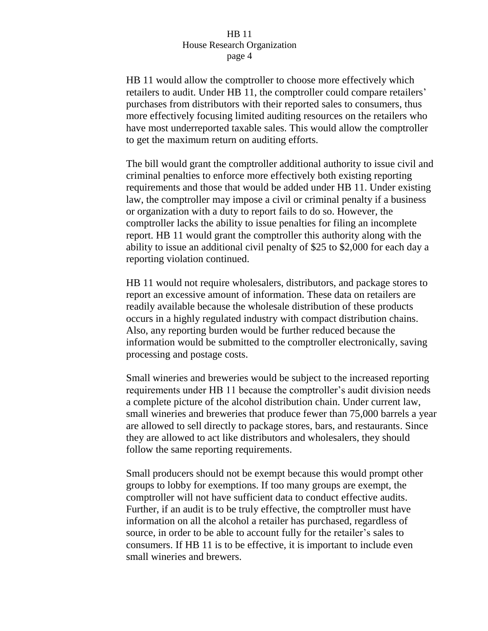HB 11 would allow the comptroller to choose more effectively which retailers to audit. Under HB 11, the comptroller could compare retailers' purchases from distributors with their reported sales to consumers, thus more effectively focusing limited auditing resources on the retailers who have most underreported taxable sales. This would allow the comptroller to get the maximum return on auditing efforts.

The bill would grant the comptroller additional authority to issue civil and criminal penalties to enforce more effectively both existing reporting requirements and those that would be added under HB 11. Under existing law, the comptroller may impose a civil or criminal penalty if a business or organization with a duty to report fails to do so. However, the comptroller lacks the ability to issue penalties for filing an incomplete report. HB 11 would grant the comptroller this authority along with the ability to issue an additional civil penalty of \$25 to \$2,000 for each day a reporting violation continued.

HB 11 would not require wholesalers, distributors, and package stores to report an excessive amount of information. These data on retailers are readily available because the wholesale distribution of these products occurs in a highly regulated industry with compact distribution chains. Also, any reporting burden would be further reduced because the information would be submitted to the comptroller electronically, saving processing and postage costs.

Small wineries and breweries would be subject to the increased reporting requirements under HB 11 because the comptroller's audit division needs a complete picture of the alcohol distribution chain. Under current law, small wineries and breweries that produce fewer than 75,000 barrels a year are allowed to sell directly to package stores, bars, and restaurants. Since they are allowed to act like distributors and wholesalers, they should follow the same reporting requirements.

Small producers should not be exempt because this would prompt other groups to lobby for exemptions. If too many groups are exempt, the comptroller will not have sufficient data to conduct effective audits. Further, if an audit is to be truly effective, the comptroller must have information on all the alcohol a retailer has purchased, regardless of source, in order to be able to account fully for the retailer's sales to consumers. If HB 11 is to be effective, it is important to include even small wineries and brewers.